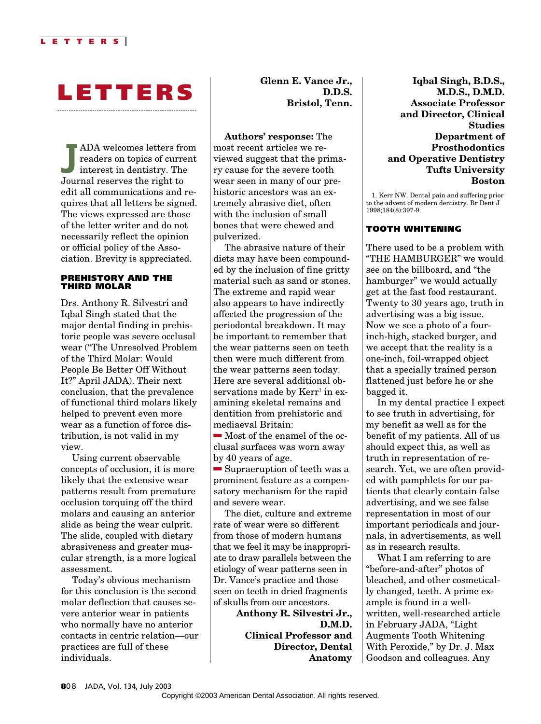# **LETTERS**

**J**<br> **ADA** welcomes letters fr<br>
readers on topics of curr<br>
interest in dentistry. The<br>
Journal reserves the right to ADA welcomes letters from readers on topics of current interest in dentistry. The edit all communications and requires that all letters be signed. The views expressed are those of the letter writer and do not necessarily reflect the opinion or official policy of the Association. Brevity is appreciated.

#### **PREHISTORY AND THE THIRD MOLAR**

Drs. Anthony R. Silvestri and Iqbal Singh stated that the major dental finding in prehistoric people was severe occlusal wear ("The Unresolved Problem of the Third Molar: Would People Be Better Off Without It?" April JADA). Their next conclusion, that the prevalence of functional third molars likely helped to prevent even more wear as a function of force distribution, is not valid in my view.

Using current observable concepts of occlusion, it is more likely that the extensive wear patterns result from premature occlusion torquing off the third molars and causing an anterior slide as being the wear culprit. The slide, coupled with dietary abrasiveness and greater muscular strength, is a more logical assessment.

Today's obvious mechanism for this conclusion is the second molar deflection that causes severe anterior wear in patients who normally have no anterior contacts in centric relation—our practices are full of these individuals.

**Glenn E. Vance Jr., D.D.S. Bristol, Tenn.**

**Authors' response:** The most recent articles we reviewed suggest that the primary cause for the severe tooth wear seen in many of our prehistoric ancestors was an extremely abrasive diet, often with the inclusion of small bones that were chewed and pulverized.

The abrasive nature of their diets may have been compounded by the inclusion of fine gritty material such as sand or stones. The extreme and rapid wear also appears to have indirectly affected the progression of the periodontal breakdown. It may be important to remember that the wear patterns seen on teeth then were much different from the wear patterns seen today. Here are several additional observations made by  $Kerr^1$  in examining skeletal remains and dentition from prehistoric and mediaeval Britain:

 $\blacksquare$  Most of the enamel of the occlusal surfaces was worn away by 40 years of age.

 $\blacksquare$  Supraeruption of teeth was a prominent feature as a compensatory mechanism for the rapid and severe wear.

The diet, culture and extreme rate of wear were so different from those of modern humans that we feel it may be inappropriate to draw parallels between the etiology of wear patterns seen in Dr. Vance's practice and those seen on teeth in dried fragments of skulls from our ancestors.

> **Anthony R. Silvestri Jr., D.M.D. Clinical Professor and Director, Dental Anatomy**

**Iqbal Singh, B.D.S., M.D.S., D.M.D. Associate Professor and Director, Clinical Studies Department of Prosthodontics and Operative Dentistry Tufts University Boston**

1. Kerr NW. Dental pain and suffering prior to the advent of modern dentistry. Br Dent J 1998;184(8):397-9.

## **TOOTH WHITENING**

There used to be a problem with "THE HAMBURGER" we would see on the billboard, and "the hamburger" we would actually get at the fast food restaurant. Twenty to 30 years ago, truth in advertising was a big issue. Now we see a photo of a fourinch-high, stacked burger, and we accept that the reality is a one-inch, foil-wrapped object that a specially trained person flattened just before he or she bagged it.

In my dental practice I expect to see truth in advertising, for my benefit as well as for the benefit of my patients. All of us should expect this, as well as truth in representation of research. Yet, we are often provided with pamphlets for our patients that clearly contain false advertising, and we see false representation in most of our important periodicals and journals, in advertisements, as well as in research results.

What I am referring to are "before-and-after" photos of bleached, and other cosmetically changed, teeth. A prime example is found in a wellwritten, well-researched article in February JADA, "Light Augments Tooth Whitening With Peroxide," by Dr. J. Max Goodson and colleagues. Any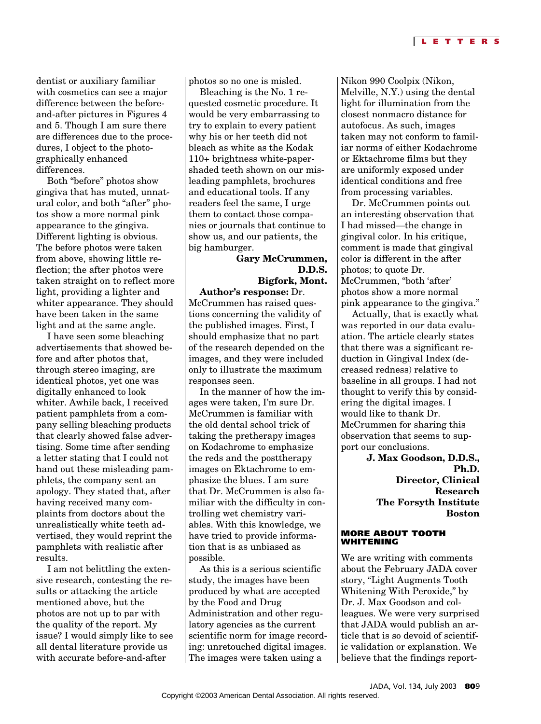dentist or auxiliary familiar with cosmetics can see a major difference between the beforeand-after pictures in Figures 4 and 5. Though I am sure there are differences due to the procedures, I object to the photographically enhanced differences.

Both "before" photos show gingiva that has muted, unnatural color, and both "after" photos show a more normal pink appearance to the gingiva. Different lighting is obvious. The before photos were taken from above, showing little reflection; the after photos were taken straight on to reflect more light, providing a lighter and whiter appearance. They should have been taken in the same light and at the same angle.

I have seen some bleaching advertisements that showed before and after photos that, through stereo imaging, are identical photos, yet one was digitally enhanced to look whiter. Awhile back, I received patient pamphlets from a company selling bleaching products that clearly showed false advertising. Some time after sending a letter stating that I could not hand out these misleading pamphlets, the company sent an apology. They stated that, after having received many complaints from doctors about the unrealistically white teeth advertised, they would reprint the pamphlets with realistic after results.

I am not belittling the extensive research, contesting the results or attacking the article mentioned above, but the photos are not up to par with the quality of the report. My issue? I would simply like to see all dental literature provide us with accurate before-and-after

photos so no one is misled.

Bleaching is the No. 1 requested cosmetic procedure. It would be very embarrassing to try to explain to every patient why his or her teeth did not bleach as white as the Kodak 110+ brightness white-papershaded teeth shown on our misleading pamphlets, brochures and educational tools. If any readers feel the same, I urge them to contact those companies or journals that continue to show us, and our patients, the big hamburger.

> **Gary McCrummen, D.D.S. Bigfork, Mont.**

**Author's response:** Dr. McCrummen has raised questions concerning the validity of the published images. First, I should emphasize that no part of the research depended on the images, and they were included only to illustrate the maximum responses seen.

In the manner of how the images were taken, I'm sure Dr. McCrummen is familiar with the old dental school trick of taking the pretherapy images on Kodachrome to emphasize the reds and the posttherapy images on Ektachrome to emphasize the blues. I am sure that Dr. McCrummen is also familiar with the difficulty in controlling wet chemistry variables. With this knowledge, we have tried to provide information that is as unbiased as possible.

As this is a serious scientific study, the images have been produced by what are accepted by the Food and Drug Administration and other regulatory agencies as the current scientific norm for image recording: unretouched digital images. The images were taken using a

Nikon 990 Coolpix (Nikon, Melville, N.Y.) using the dental light for illumination from the closest nonmacro distance for autofocus. As such, images taken may not conform to familiar norms of either Kodachrome or Ektachrome films but they are uniformly exposed under identical conditions and free from processing variables.

Dr. McCrummen points out an interesting observation that I had missed—the change in gingival color. In his critique, comment is made that gingival color is different in the after photos; to quote Dr. McCrummen, "both 'after' photos show a more normal pink appearance to the gingiva."

Actually, that is exactly what was reported in our data evaluation. The article clearly states that there was a significant reduction in Gingival Index (decreased redness) relative to baseline in all groups. I had not thought to verify this by considering the digital images. I would like to thank Dr. McCrummen for sharing this observation that seems to support our conclusions.

> **J. Max Goodson, D.D.S., Ph.D. Director, Clinical Research The Forsyth Institute Boston**

#### **MORE ABOUT TOOTH WHITENING**

We are writing with comments about the February JADA cover story, "Light Augments Tooth Whitening With Peroxide," by Dr. J. Max Goodson and colleagues. We were very surprised that JADA would publish an article that is so devoid of scientific validation or explanation. We believe that the findings report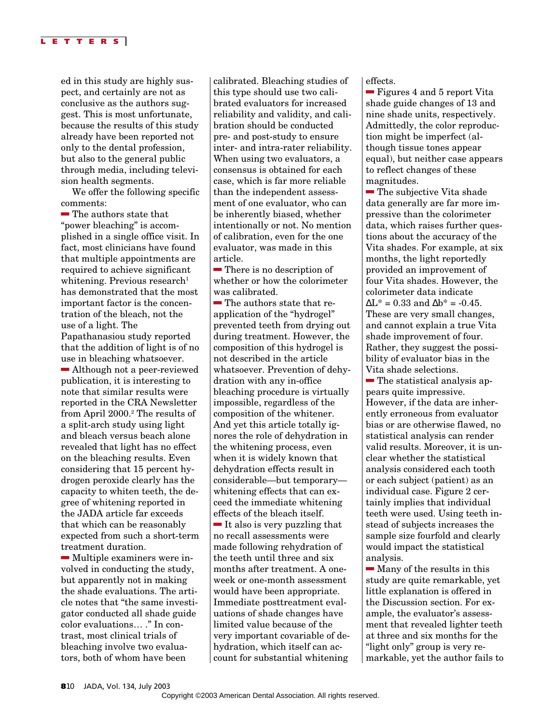ed in this study are highly suspect, and certainly are not as conclusive as the authors suggest. This is most unfortunate, because the results of this study already have been reported not only to the dental profession, but also to the general public through media, including television health segments.

We offer the following specific comments:

 $\blacksquare$  The authors state that "power bleaching" is accomplished in a single office visit. In fact, most clinicians have found that multiple appointments are required to achieve significant whitening. Previous research<sup>1</sup> has demonstrated that the most important factor is the concentration of the bleach, not the use of a light. The Papathanasiou study reported that the addition of light is of no use in bleaching whatsoever. **Example 1** Although not a peer-reviewed publication, it is interesting to note that similar results were reported in the CRA Newsletter from April 2000.<sup>2</sup> The results of a split-arch study using light and bleach versus beach alone revealed that light has no effect on the bleaching results. Even considering that 15 percent hydrogen peroxide clearly has the capacity to whiten teeth, the degree of whitening reported in the JADA article far exceeds that which can be reasonably expected from such a short-term treatment duration.

 $\blacksquare$  Multiple examiners were involved in conducting the study, but apparently not in making the shade evaluations. The article notes that "the same investigator conducted all shade guide color evaluations… ." In contrast, most clinical trials of bleaching involve two evaluators, both of whom have been

calibrated. Bleaching studies of this type should use two calibrated evaluators for increased reliability and validity, and calibration should be conducted pre- and post-study to ensure inter- and intra-rater reliability. When using two evaluators, a consensus is obtained for each case, which is far more reliable than the independent assessment of one evaluator, who can be inherently biased, whether intentionally or not. No mention of calibration, even for the one evaluator, was made in this article.

 $\blacksquare$  There is no description of whether or how the colorimeter was calibrated.

 $\blacksquare$  The authors state that reapplication of the "hydrogel" prevented teeth from drying out during treatment. However, the composition of this hydrogel is not described in the article whatsoever. Prevention of dehydration with any in-office bleaching procedure is virtually impossible, regardless of the composition of the whitener. And yet this article totally ignores the role of dehydration in the whitening process, even when it is widely known that dehydration effects result in considerable—but temporary whitening effects that can exceed the immediate whitening effects of the bleach itself.  $\blacksquare$  It also is very puzzling that no recall assessments were made following rehydration of the teeth until three and six months after treatment. A oneweek or one-month assessment would have been appropriate. Immediate posttreatment evaluations of shade changes have limited value because of the very important covariable of dehydration, which itself can account for substantial whitening

effects.

 $\blacksquare$  Figures 4 and 5 report Vita shade guide changes of 13 and nine shade units, respectively. Admittedly, the color reproduction might be imperfect (although tissue tones appear equal), but neither case appears to reflect changes of these magnitudes.

 $\blacksquare$  The subjective Vita shade data generally are far more impressive than the colorimeter data, which raises further questions about the accuracy of the Vita shades. For example, at six months, the light reportedly provided an improvement of four Vita shades. However, the colorimeter data indicate  $\Delta L^* = 0.33$  and  $\Delta b^* = -0.45$ . These are very small changes, and cannot explain a true Vita shade improvement of four. Rather, they suggest the possibility of evaluator bias in the Vita shade selections.

 $\blacksquare$  The statistical analysis appears quite impressive. However, if the data are inherently erroneous from evaluator bias or are otherwise flawed, no statistical analysis can render valid results. Moreover, it is unclear whether the statistical analysis considered each tooth or each subject (patient) as an individual case. Figure 2 certainly implies that individual teeth were used. Using teeth instead of subjects increases the sample size fourfold and clearly would impact the statistical analysis.

 $\blacksquare$  Many of the results in this study are quite remarkable, yet little explanation is offered in the Discussion section. For example, the evaluator's assessment that revealed lighter teeth at three and six months for the "light only" group is very remarkable, yet the author fails to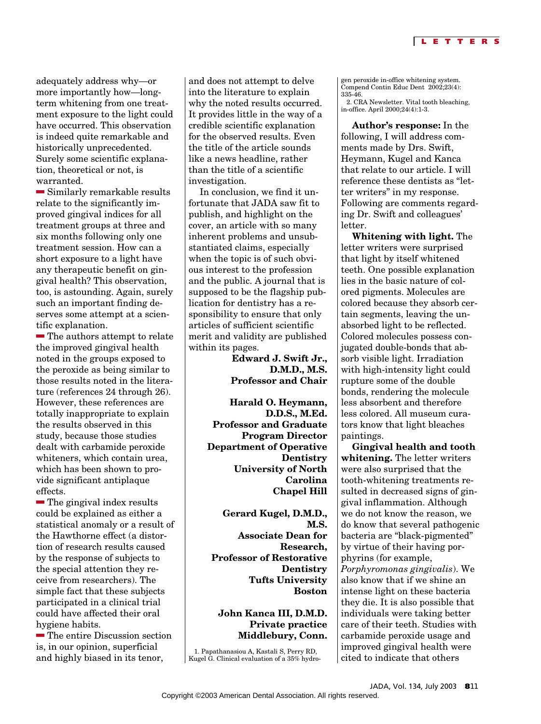adequately address why—or more importantly how—longterm whitening from one treatment exposure to the light could have occurred. This observation is indeed quite remarkable and historically unprecedented. Surely some scientific explanation, theoretical or not, is warranted.

 $\blacksquare$  Similarly remarkable results relate to the significantly improved gingival indices for all treatment groups at three and six months following only one treatment session. How can a short exposure to a light have any therapeutic benefit on gingival health? This observation, too, is astounding. Again, surely such an important finding deserves some attempt at a scientific explanation.

 $\blacksquare$  The authors attempt to relate the improved gingival health noted in the groups exposed to the peroxide as being similar to those results noted in the literature (references 24 through 26). However, these references are totally inappropriate to explain the results observed in this study, because those studies dealt with carbamide peroxide whiteners, which contain urea, which has been shown to provide significant antiplaque effects.

 $\blacksquare$  The gingival index results could be explained as either a statistical anomaly or a result of the Hawthorne effect (a distortion of research results caused by the response of subjects to the special attention they receive from researchers). The simple fact that these subjects participated in a clinical trial could have affected their oral hygiene habits.

**The entire Discussion section** is, in our opinion, superficial and highly biased in its tenor,

and does not attempt to delve into the literature to explain why the noted results occurred. It provides little in the way of a credible scientific explanation for the observed results. Even the title of the article sounds like a news headline, rather than the title of a scientific investigation.

In conclusion, we find it unfortunate that JADA saw fit to publish, and highlight on the cover, an article with so many inherent problems and unsubstantiated claims, especially when the topic is of such obvious interest to the profession and the public. A journal that is supposed to be the flagship publication for dentistry has a responsibility to ensure that only articles of sufficient scientific merit and validity are published within its pages.

**Edward J. Swift Jr., D.M.D., M.S. Professor and Chair**

**Harald O. Heymann, D.D.S., M.Ed. Professor and Graduate Program Director Department of Operative Dentistry University of North Carolina Chapel Hill**

**Gerard Kugel, D.M.D., M.S. Associate Dean for Research, Professor of Restorative Dentistry Tufts University Boston**

## **John Kanca III, D.M.D. Private practice Middlebury, Conn.**

1. Papathanasiou A, Kastali S, Perry RD, Kugel G. Clinical evaluation of a 35% hydrogen peroxide in-office whitening system. Compend Contin Educ Dent 2002;23(4): 335-46.

2. CRA Newsletter. Vital tooth bleaching, in-office. April 2000;24(4):1-3.

**Author's response:** In the following, I will address comments made by Drs. Swift, Heymann, Kugel and Kanca that relate to our article. I will reference these dentists as "letter writers" in my response. Following are comments regarding Dr. Swift and colleagues' **letter** 

**Whitening with light.** The letter writers were surprised that light by itself whitened teeth. One possible explanation lies in the basic nature of colored pigments. Molecules are colored because they absorb certain segments, leaving the unabsorbed light to be reflected. Colored molecules possess conjugated double-bonds that absorb visible light. Irradiation with high-intensity light could rupture some of the double bonds, rendering the molecule less absorbent and therefore less colored. All museum curators know that light bleaches paintings.

**Gingival health and tooth whitening.** The letter writers were also surprised that the tooth-whitening treatments resulted in decreased signs of gingival inflammation. Although we do not know the reason, we do know that several pathogenic bacteria are "black-pigmented" by virtue of their having porphyrins (for example, *Porphyromonas gingivalis*). We also know that if we shine an intense light on these bacteria they die. It is also possible that individuals were taking better care of their teeth. Studies with carbamide peroxide usage and improved gingival health were cited to indicate that others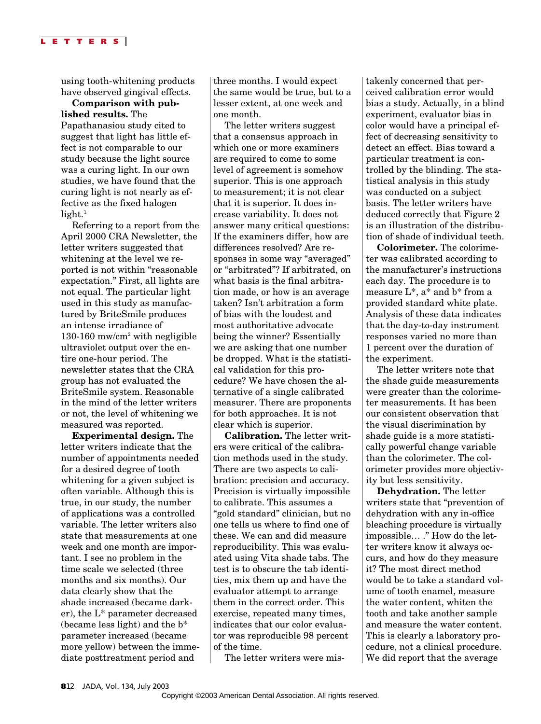using tooth-whitening products have observed gingival effects.

**Comparison with published results.** The Papathanasiou study cited to suggest that light has little effect is not comparable to our study because the light source was a curing light. In our own studies, we have found that the curing light is not nearly as effective as the fixed halogen  $light.<sup>1</sup>$ 

Referring to a report from the April 2000 CRA Newsletter, the letter writers suggested that whitening at the level we reported is not within "reasonable expectation." First, all lights are not equal. The particular light used in this study as manufactured by BriteSmile produces an intense irradiance of 130-160 mw/cm<sup>2</sup> with negligible ultraviolet output over the entire one-hour period. The newsletter states that the CRA group has not evaluated the BriteSmile system. Reasonable in the mind of the letter writers or not, the level of whitening we measured was reported.

**Experimental design.** The letter writers indicate that the number of appointments needed for a desired degree of tooth whitening for a given subject is often variable. Although this is true, in our study, the number of applications was a controlled variable. The letter writers also state that measurements at one week and one month are important. I see no problem in the time scale we selected (three months and six months). Our data clearly show that the shade increased (became darker), the L\* parameter decreased (became less light) and the b\* parameter increased (became more yellow) between the immediate posttreatment period and

three months. I would expect the same would be true, but to a lesser extent, at one week and one month.

The letter writers suggest that a consensus approach in which one or more examiners are required to come to some level of agreement is somehow superior. This is one approach to measurement; it is not clear that it is superior. It does increase variability. It does not answer many critical questions: If the examiners differ, how are differences resolved? Are responses in some way "averaged" or "arbitrated"? If arbitrated, on what basis is the final arbitration made, or how is an average taken? Isn't arbitration a form of bias with the loudest and most authoritative advocate being the winner? Essentially we are asking that one number be dropped. What is the statistical validation for this procedure? We have chosen the alternative of a single calibrated measurer. There are proponents for both approaches. It is not clear which is superior.

**Calibration.** The letter writers were critical of the calibration methods used in the study. There are two aspects to calibration: precision and accuracy. Precision is virtually impossible to calibrate. This assumes a "gold standard" clinician, but no one tells us where to find one of these. We can and did measure reproducibility. This was evaluated using Vita shade tabs. The test is to obscure the tab identities, mix them up and have the evaluator attempt to arrange them in the correct order. This exercise, repeated many times, indicates that our color evaluator was reproducible 98 percent of the time.

The letter writers were mis-

takenly concerned that perceived calibration error would bias a study. Actually, in a blind experiment, evaluator bias in color would have a principal effect of decreasing sensitivity to detect an effect. Bias toward a particular treatment is controlled by the blinding. The statistical analysis in this study was conducted on a subject basis. The letter writers have deduced correctly that Figure 2 is an illustration of the distribution of shade of individual teeth.

**Colorimeter.** The colorimeter was calibrated according to the manufacturer's instructions each day. The procedure is to measure L\*, a\* and b\* from a provided standard white plate. Analysis of these data indicates that the day-to-day instrument responses varied no more than 1 percent over the duration of the experiment.

The letter writers note that the shade guide measurements were greater than the colorimeter measurements. It has been our consistent observation that the visual discrimination by shade guide is a more statistically powerful change variable than the colorimeter. The colorimeter provides more objectivity but less sensitivity.

**Dehydration.** The letter writers state that "prevention of dehydration with any in-office bleaching procedure is virtually impossible… ." How do the letter writers know it always occurs, and how do they measure it? The most direct method would be to take a standard volume of tooth enamel, measure the water content, whiten the tooth and take another sample and measure the water content. This is clearly a laboratory procedure, not a clinical procedure. We did report that the average